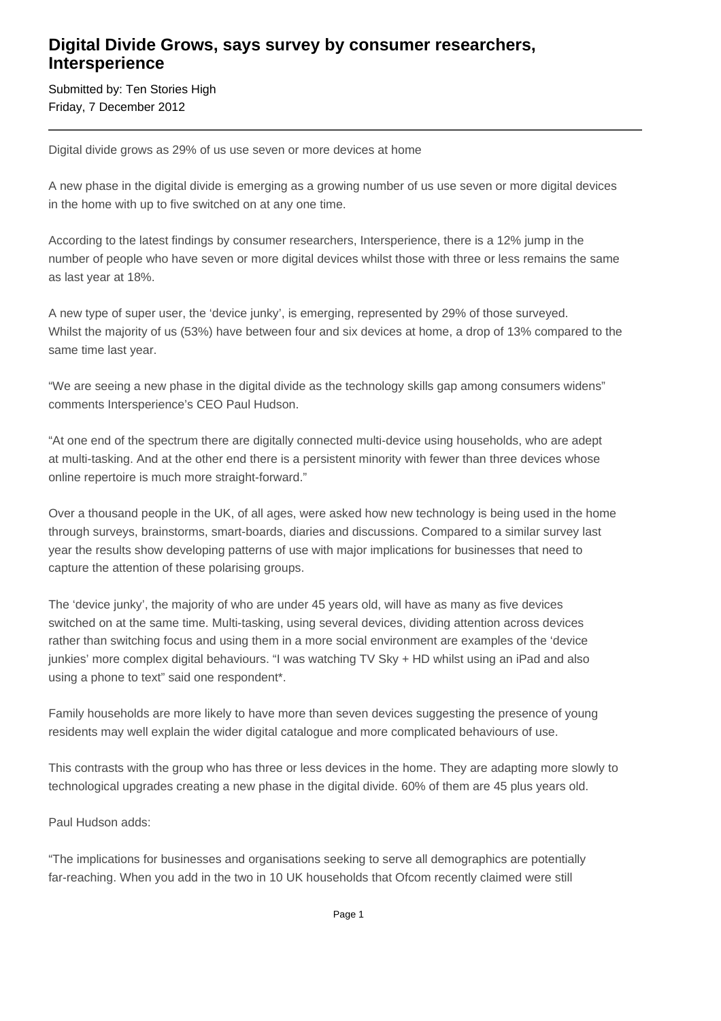## **Digital Divide Grows, says survey by consumer researchers, Intersperience**

Submitted by: Ten Stories High Friday, 7 December 2012

Digital divide grows as 29% of us use seven or more devices at home

A new phase in the digital divide is emerging as a growing number of us use seven or more digital devices in the home with up to five switched on at any one time.

According to the latest findings by consumer researchers, Intersperience, there is a 12% jump in the number of people who have seven or more digital devices whilst those with three or less remains the same as last year at 18%.

A new type of super user, the 'device junky', is emerging, represented by 29% of those surveyed. Whilst the majority of us (53%) have between four and six devices at home, a drop of 13% compared to the same time last year.

"We are seeing a new phase in the digital divide as the technology skills gap among consumers widens" comments Intersperience's CEO Paul Hudson.

"At one end of the spectrum there are digitally connected multi-device using households, who are adept at multi-tasking. And at the other end there is a persistent minority with fewer than three devices whose online repertoire is much more straight-forward."

Over a thousand people in the UK, of all ages, were asked how new technology is being used in the home through surveys, brainstorms, smart-boards, diaries and discussions. Compared to a similar survey last year the results show developing patterns of use with major implications for businesses that need to capture the attention of these polarising groups.

The 'device junky', the majority of who are under 45 years old, will have as many as five devices switched on at the same time. Multi-tasking, using several devices, dividing attention across devices rather than switching focus and using them in a more social environment are examples of the 'device junkies' more complex digital behaviours. "I was watching TV Sky + HD whilst using an iPad and also using a phone to text" said one respondent\*.

Family households are more likely to have more than seven devices suggesting the presence of young residents may well explain the wider digital catalogue and more complicated behaviours of use.

This contrasts with the group who has three or less devices in the home. They are adapting more slowly to technological upgrades creating a new phase in the digital divide. 60% of them are 45 plus years old.

Paul Hudson adds:

"The implications for businesses and organisations seeking to serve all demographics are potentially far-reaching. When you add in the two in 10 UK households that Ofcom recently claimed were still